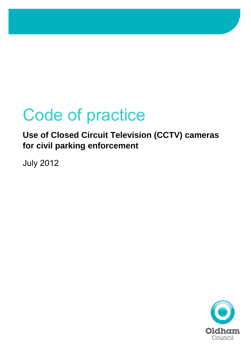# Code of practice

**Use of Closed Circuit Television (CCTV) cameras for civil parking enforcement** 

July 2012

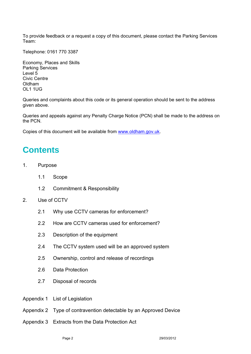To provide feedback or a request a copy of this document, please contact the Parking Services Team:

Telephone: 0161 770 3387

Economy, Places and Skills Parking Services Level 5 Civic Centre Oldham OL1 1UG

Queries and complaints about this code or its general operation should be sent to the address given above.

Queries and appeals against any Penalty Charge Notice (PCN) shall be made to the address on the PCN.

Copies of this document will be available from [www.oldham.gov.uk.](http://www.oldham.gov.uk/)

# **Contents**

- 1. Purpose
	- 1.1 Scope
	- 1.2 Commitment & Responsibility
- 2. Use of CCTV
	- 2.1 Why use CCTV cameras for enforcement?
	- 2.2 How are CCTV cameras used for enforcement?
	- 2.3 Description of the equipment
	- 2.4 The CCTV system used will be an approved system
	- 2.5 Ownership, control and release of recordings
	- 2.6 Data Protection
	- 2.7 Disposal of records
- Appendix 1 List of Legislation
- Appendix 2 Type of contravention detectable by an Approved Device
- Appendix 3 Extracts from the Data Protection Act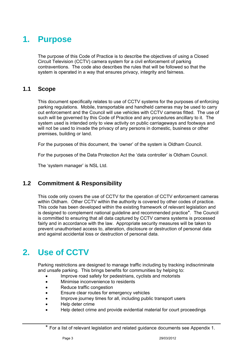# **1. Purpose**

The purpose of this Code of Practice is to describe the objectives of using a Closed Circuit Television (CCTV) camera system for a civil enforcement of parking contraventions. The code also describes the rules that will be followed so that the system is operated in a way that ensures privacy, integrity and fairness.

### **1.1 Scope**

This document specifically relates to use of CCTV systems for the purposes of enforcing parking regulations. Mobile, transportable and handheld cameras may be used to carry out enforcement and the Council will use vehicles with CCTV cameras fitted. The use of such will be governed by this Code of Practice and any procedures ancillary to it. The system used is intended only to view activity on public carriageways and footways and will not be used to invade the privacy of any persons in domestic, business or other premises, building or land.

For the purposes of this document, the 'owner' of the system is Oldham Council.

For the purposes of the Data Protection Act the 'data controller' is Oldham Council.

The 'system manager' is NSL Ltd.

### **1.2 Commitment & Responsibility**

This code only covers the use of CCTV for the operation of CCTV enforcement cameras within Oldham. Other CCTV within the authority is covered by other codes of practice. This code has been developed within the existing framework of relevant legislation and is designed to complement national guideline and recommended practice\*. The Council is committed to ensuring that all data captured by CCTV camera systems is processed fairly and in accordance with the law. Appropriate security measures will be taken to prevent unauthorised access to, alteration, disclosure or destruction of personal data and against accidental loss or destruction of personal data.

# **2. Use of CCTV**

Parking restrictions are designed to manage traffic including by tracking indiscriminate and unsafe parking. This brings benefits for communities by helping to:

- Improve road safety for pedestrians, cyclists and motorists
- Minimise inconvenience to residents
- Reduce traffic congestion
- Ensure clear routes for emergency vehicles
- Improve journey times for all, including public transport users
- Help deter crime
- Help detect crime and provide evidential material for court proceedings

<sup>\*</sup> For a list of relevant legislation and related guidance documents see Appendix 1.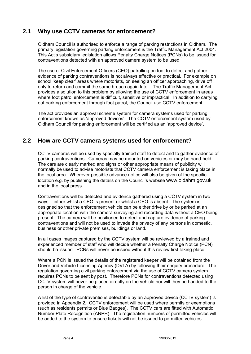# **2.1 Why use CCTV cameras for enforcement?**

Oldham Council is authorised to enforce a range of parking restrictions in Oldham. The primary legislation governing parking enforcement is the Traffic Management Act 2004. This Act's subsidiary legislation allows Penalty Charge Notices (PCNs) to be issued for contraventions detected with an approved camera system to be used.

The use of Civil Enforcement Officers (CEO) patrolling on foot to detect and gather evidence of parking contraventions is not always effective or practical. For example on school 'keep clear' areas where motorists, on seeing an officer approaching, drive off only to return and commit the same breach again later. The Traffic Management Act provides a solution to this problem by allowing the use of CCTV enforcement in areas where foot patrol enforcement is difficult, sensitive or impractical. In addition to carrying out parking enforcement through foot patrol, the Council use CCTV enforcement.

The act provides an approval scheme system for camera systems used for parking enforcement known as 'approved devices'. The CCTV enforcement system used by Oldham Council for parking enforcement will be certified as an 'approved device'.

### **2.2 How are CCTV camera systems used for enforcement?**

CCTV cameras will be used by specially trained staff to detect and to gather evidence of parking contraventions. Cameras may be mounted on vehicles or may be hand-held. The cars are clearly marked and signs or other appropriate means of publicity will normally be used to advise motorists that CCTV camera enforcement is taking place in the local area. Wherever possible advance notice will also be given of the specific location e.g. by publishing the details on the Council's website [www.oldahm.gov.uk](http://www.oldahm.gov.uk/) and in the local press.

Contraventions will be detected and evidence gathered using a CCTV system in two ways – either whilst a CEO is present or whilst a CEO is absent. The system is designed so that the enforcement vehicle can be either drive by or be parked at an appropriate location with the camera surveying and recording data without a CEO being present. The camera will be positioned to detect and capture evidence of parking contraventions and will not be used to invade the privacy of any persons in domestic, business or other private premises, buildings or land.

In all cases images captured by the CCTV system will be reviewed by a trained and experienced member of staff who will decide whether a Penalty Charge Notice (PCN) should be issued. PCNs will never be issued without this review first taking place.

Where a PCN is issued the details of the registered keeper will be obtained from the Driver and Vehicle Licensing Agency (DVLA) by following their enquiry procedure. The regulation governing civil parking enforcement via the use of CCTV camera system requires PCNs to be sent by post. Therefore PCNs for contraventions detected using CCTV system will never be placed directly on the vehicle nor will they be handed to the person in charge of the vehicle.

A list of the type of contraventions detectable by an approved device (CCTV system) is provided in Appendix 2. CCTV enforcement will be used where permits or exemptions (such as residents permits or Blue Badges). The CCTV cars are fitted with Automatic Number Plate Recognition (ANPR). The registration numbers of permitted vehicles will be added to the system to ensure tickets will not be issued to permitted vehicles.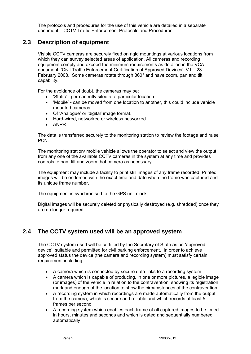The protocols and procedures for the use of this vehicle are detailed in a separate document – CCTV Traffic Enforcement Protocols and Procedures.

### **2.3 Description of equipment**

Visible CCTV cameras are securely fixed on rigid mountings at various locations from which they can survey selected areas of application. All cameras and recording equipment comply and exceed the minimum requirements as detailed in the VCA document: 'Civil Traffic Enforcement Certification of Approved Devices'. V1 – 28 February 2008. Some cameras rotate through 360° and have zoom, pan and tilt capability.

For the avoidance of doubt, the cameras may be;

- 'Static' permanently sited at a particular location
- 'Mobile' can be moved from one location to another, this could include vehicle mounted cameras
- Of 'Analogue' or 'digital' image format.
- Hard-wired, networked or wireless networked.
- ANPR

The data is transferred securely to the monitoring station to review the footage and raise PCN.

The monitoring station/ mobile vehicle allows the operator to select and view the output from any one of the available CCTV cameras in the system at any time and provides controls to pan, tilt and zoom that camera as necessary.

The equipment may include a facility to print still images of any frame recorded. Printed images will be endorsed with the exact time and date when the frame was captured and its unique frame number.

The equipment is synchronised to the GPS unit clock.

Digital images will be securely deleted or physically destroyed (e.g. shredded) once they are no longer required.

### **2.4 The CCTV system used will be an approved system**

The CCTV system used will be certified by the Secretary of State as an 'approved device', suitable and permitted for civil parking enforcement. In order to achieve approved status the device (the camera and recording system) must satisfy certain requirement including:

- A camera which is connected by secure data links to a recording system
- A camera which is capable of producing, in one or more pictures, a legible image (or images) of the vehicle in relation to the contravention, showing its registration mark and enough of the location to show the circumstances of the contravention
- A recording system in which recordings are made automatically from the output from the camera; which is secure and reliable and which records at least 5 frames per second
- A recording system which enables each frame of all captured images to be timed in hours, minutes and seconds and which is dated and sequentially numbered automatically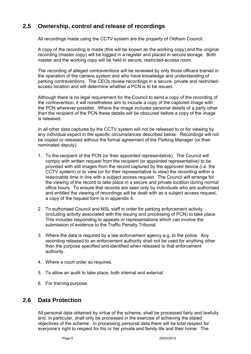## **2.5 Ownership, control and release of recordings**

All recordings made using the CCTV system are the property of Oldham Council.

A copy of the recording is made (this will be known as the working copy) and the original recording (master copy) will be logged in a register and placed in secure storage. Both master and the working copy will be held in secure, restricted-access room.

The recording of alleged contraventions will be reviewed by only those officers trained in the operation of the camera system and who have knowledge and understanding of parking contraventions. The CEOs review recordings in a secure, private and restrictedaccess location and will determine whether a PCN is to be issued.

Although there is no legal requirement for the Council to send a copy of the recording of the contravention, it will nonetheless aim to include a copy of the captured image with the PCN wherever possible. Where the image includes personal details of a party other than the recipient of the PCN these details will be obscured before a copy of the image is released.

In all other data captures by the CCTV system will not be released to or for viewing by any individual expect in the specific circumstances described below. Recordings will not be copied or released without the formal agreement of the Parking Manager (or their nominated deputy).

- 1. To the recipient of the PCN (or their appointed representative). The Council will comply with written request from the recipient (or appointed representative) to be provided with still images from the record captured by the approved device (i.e. the CCTV system) or to view (or for their representative to view) the recording within a reasonable time in line with a subject access request. The Council will arrange for the viewing of the record to take place in a secure and private location during normal office hours. To ensure that records are seen only by individuals who are authorised and entitled the viewing of recordings will be dealt with as a subject access request, a copy of the request form is in appendix 4.
- 2. To authorised Council and NSL staff in order for parking enforcement activity (including activity associated with the issuing and processing of PCN) to take place. This includes responding to appeals or representations which can involve the submission of evidence to the Traffic Penalty Tribunal.
- 3. Where the data is required by a law enforcement agency e.g. to the police. Any recording released to an enforcement authority shall not be used for anything other than the purpose specified and identified when released to that enforcement authority.
- 4. Where a court order so requires.
- 5. To allow an audit to take place, both internal and external
- 6. For training purpose.

### **2.6 Data Protection**

All personal data obtained by virtue of the scheme, shall be processed fairly and lawfully and, in particular, shall only be processed in the exercise of achieving the stated objectives of the scheme. In processing personal data there will be total respect for everyone's right to respect for his or her private and family life and their home. The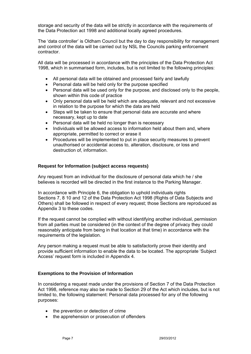storage and security of the data will be strictly in accordance with the requirements of the Data Protection act 1998 and additional locally agreed procedures.

The 'data controller' is Oldham Council but the day to day responsibility for management and control of the data will be carried out by NSL the Councils parking enforcement contractor.

All data will be processed in accordance with the principles of the Data Protection Act 1998, which in summarised form, includes, but is not limited to the following principles:

- All personal data will be obtained and processed fairly and lawfully
- Personal data will be held only for the purpose specified
- Personal data will be used only for the purpose, and disclosed only to the people, shown within this code of practice
- Only personal data will be held which are adequate, relevant and not excessive in relation to the purpose for which the data are held
- Steps will be taken to ensure that personal data are accurate and where necessary, kept up to date
- Personal data will be held no longer than is necessary
- Individuals will be allowed access to information held about them and, where appropriate, permitted to correct or erase it
- Procedures will be implemented to put in place security measures to prevent unauthorised or accidental access to, alteration, disclosure, or loss and destruction of, information.

### **Request for Information (subject access requests)**

Any request from an individual for the disclosure of personal data which he / she believes is recorded will be directed in the first instance to the Parking Manager.

In accordance with Principle 6, the obligation to uphold individuals rights Sections 7, 8 10 and 12 of the Data Protection Act 1998 (Rights of Data Subjects and Others) shall be followed in respect of every request; those Sections are reproduced as Appendix 3 to these codes.

If the request cannot be complied with without identifying another individual, permission from all parties must be considered (in the context of the degree of privacy they could reasonably anticipate from being in that location at that time) in accordance with the requirements of the legislation.

Any person making a request must be able to satisfactorily prove their identity and provide sufficient information to enable the data to be located. The appropriate 'Subject Access' request form is included in Appendix 4.

#### **Exemptions to the Provision of Information**

In considering a request made under the provisions of Section 7 of the Data Protection Act 1998, reference may also be made to Section 29 of the Act which includes, but is not limited to, the following statement: Personal data processed for any of the following purposes:

- the prevention or detection of crime
- the apprehension or prosecution of offenders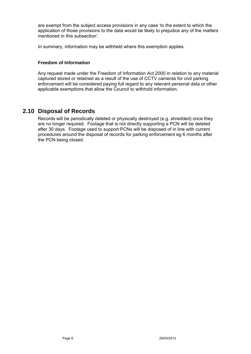are exempt from the subject access provisions in any case 'to the extent to which the application of those provisions to the data would be likely to prejudice any of the matters mentioned in this subsection'.

In summary, information may be withheld where this exemption applies.

### **Freedom of Information**

Any request made under the Freedom of Information Act 2000 in relation to any material captured stored or retained as a result of the use of CCTV cameras for civil parking enforcement will be considered paying full regard to any relevant personal data or other applicable exemptions that allow the Council to withhold information.

### **2.10 Disposal of Records**

Records will be periodically deleted or physically destroyed (e.g. shredded) once they are no longer required. Footage that is not directly supporting a PCN will be deleted after 30 days. Footage used to support PCNs will be disposed of in line with current procedures around the disposal of records for parking enforcement eg 6 months after the PCN being closed.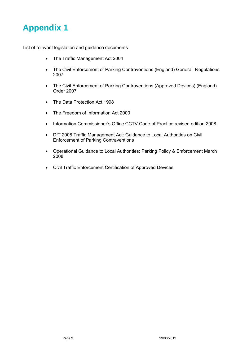List of relevant legislation and guidance documents

- The Traffic Management Act 2004
- The Civil Enforcement of Parking Contraventions (England) General Regulations 2007
- The Civil Enforcement of Parking Contraventions (Approved Devices) (England) Order 2007
- The Data Protection Act 1998
- The Freedom of Information Act 2000
- Information Commissioner's Office CCTV Code of Practice revised edition 2008
- DfT 2008 Traffic Management Act: Guidance to Local Authorities on Civil Enforcement of Parking Contraventions
- Operational Guidance to Local Authorities: Parking Policy & Enforcement March 2008
- Civil Traffic Enforcement Certification of Approved Devices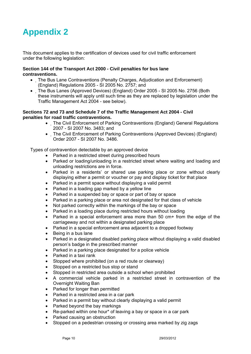This document applies to the certification of devices used for civil traffic enforcement under the following legislation:

### **Section 144 of the Transport Act 2000 - Civil penalties for bus lane contraventions.**

- The Bus Lane Contraventions (Penalty Charges, Adjudication and Enforcement) (England) Regulations 2005 - SI 2005 No. 2757; and
- The Bus Lanes (Approved Devices) (England) Order 2005 SI 2005 No. 2756 (Both these instruments will apply until such time as they are replaced by legislation under the Traffic Management Act 2004 - see below).

### **Sections 72 and 73 and Schedule 7 of the Traffic Management Act 2004 - Civil penalties for road traffic contraventions.**

- The Civil Enforcement of Parking Contraventions (England) General Regulations 2007 - SI 2007 No. 3483; and
- The Civil Enforcement of Parking Contraventions (Approved Devices) (England) Order 2007 - SI 2007 No. 3486.

Types of contravention detectable by an approved device

- Parked in a restricted street during prescribed hours
- Parked or loading/unloading in a restricted street where waiting and loading and unloading restrictions are in force.
- Parked in a residents' or shared use parking place or zone without clearly displaying either a permit or voucher or pay and display ticket for that place
- Parked in a permit space without displaying a valid permit
- Parked in a loading gap marked by a yellow line
- Parked in a suspended bay or space or part of bay or space
- Parked in a parking place or area not designated for that class of vehicle
- Not parked correctly within the markings of the bay or space
- Parked in a loading place during restricted hours without loading
- Parked in a special enforcement area more than 50 cm+ from the edge of the carriageway and not within a designated parking place
- Parked in a special enforcement area adjacent to a dropped footway
- Being in a bus lane
- Parked in a designated disabled parking place without displaying a valid disabled person's badge in the prescribed manner
- Parked in a parking place designated for a police vehicle
- Parked in a taxi rank
- Stopped where prohibited (on a red route or clearway)
- Stopped on a restricted bus stop or stand
- Stopped in restricted area outside a school when prohibited
- A commercial vehicle parked in a restricted street in contravention of the Overnight Waiting Ban
- Parked for longer than permitted
- Parked in a restricted area in a car park
- Parked in a permit bay without clearly displaying a valid permit
- Parked beyond the bay markings
- Re-parked within one hour\* of leaving a bay or space in a car park
- Parked causing an obstruction
- Stopped on a pedestrian crossing or crossing area marked by zig zags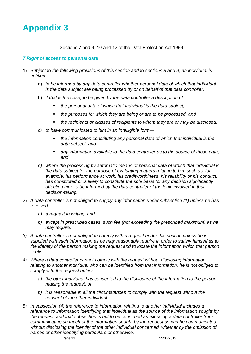Sections 7 and 8, 10 and 12 of the Data Protection Act 1998

### *7 Right of access to personal data*

- 1) *Subject to the following provisions of this section and to sections 8 and 9, an individual is entitled* 
	- a) *to be informed by any data controller whether personal data of which that individual is the data subject are being processed by or on behalf of that data controller,*
	- b) *if that is the case, to be given by the data controller a description of* 
		- *the personal data of which that individual is the data subject,*
		- *the purposes for which they are being or are to be processed, and*
		- *the recipients or classes of recipients to whom they are or may be disclosed,*
	- *c) to have communicated to him in an intelligible form* 
		- *the information constituting any personal data of which that individual is the data subject, and*
		- *any information available to the data controller as to the source of those data, and*
	- *d) where the processing by automatic means of personal data of which that individual is the data subject for the purpose of evaluating matters relating to him such as, for example, his performance at work, his creditworthiness, his reliability or his conduct, has constituted or is likely to constitute the sole basis for any decision significantly affecting him, to be informed by the data controller of the logic involved in that decision-taking.*
- 2) *A data controller is not obliged to supply any information under subsection (1) unless he has received* 
	- *a) a request in writing, and*
	- *b) except in prescribed cases, such fee (not exceeding the prescribed maximum) as he may require.*
- *3) A data controller is not obliged to comply with a request under this section unless he is supplied with such information as he may reasonably require in order to satisfy himself as to the identity of the person making the request and to locate the information which that person seeks.*
- *4) Where a data controller cannot comply with the request without disclosing information relating to another individual who can be identified from that information, he is not obliged to comply with the request unless* 
	- *a) the other individual has consented to the disclosure of the information to the person making the request, or*
	- *b) it is reasonable in all the circumstances to comply with the request without the consent of the other individual.*
- *5) In subsection (4) the reference to information relating to another individual includes a reference to information identifying that individual as the source of the information sought by the request; and that subsection is not to be construed as excusing a data controller from communicating so much of the information sought by the request as can be communicated without disclosing the identity of the other individual concerned, whether by the omission of names or other identifying particulars or otherwise.*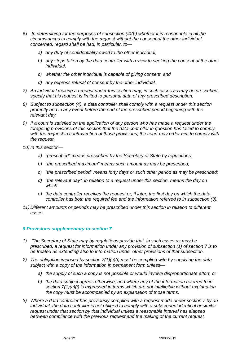- 6) *In determining for the purposes of subsection (4)(b) whether it is reasonable in all the circumstances to comply with the request without the consent of the other individual concerned, regard shall be had, in particular, to* 
	- *a) any duty of confidentiality owed to the other individual,*
	- *b) any steps taken by the data controller with a view to seeking the consent of the other individual,*
	- *c) whether the other individual is capable of giving consent, and*
	- *d) any express refusal of consent by the other individual.*
- *7) An individual making a request under this section may, in such cases as may be prescribed, specify that his request is limited to personal data of any prescribed description.*
- *8) Subject to subsection (4), a data controller shall comply with a request under this section promptly and in any event before the end of the prescribed period beginning with the relevant day.*
- *9) If a court is satisfied on the application of any person who has made a request under the foregoing provisions of this section that the data controller in question has failed to comply with the request in contravention of those provisions, the court may order him to comply with the request.*
- *10) In this section* 
	- *a) "prescribed" means prescribed by the Secretary of State by regulations;*
	- *b) "the prescribed maximum" means such amount as may be prescribed;*
	- *c) "the prescribed period" means forty days or such other period as may be prescribed;*
	- *d) "the relevant day", in relation to a request under this section, means the day on which*
	- *e) the data controller receives the request or, if later, the first day on which the data controller has both the required fee and the information referred to in subsection (3).*
- *11) Different amounts or periods may be prescribed under this section in relation to different cases.*

### *8 Provisions supplementary to section 7*

- *1) The Secretary of State may by regulations provide that, in such cases as may be prescribed, a request for information under any provision of subsection (1) of section 7 is to be treated as extending also to information under other provisions of that subsection.*
- *2) The obligation imposed by section 7(1)(c)(i) must be complied with by supplying the data subject with a copy of the information in permanent form unless* 
	- *a) the supply of such a copy is not possible or would involve disproportionate effort, or*
	- *b) the data subject agrees otherwise; and where any of the information referred to in section 7(1)(c)(i) is expressed in terms which are not intelligible without explanation the copy must be accompanied by an explanation of those terms.*
- *3) Where a data controller has previously complied with a request made under section 7 by an individual, the data controller is not obliged to comply with a subsequent identical or similar request under that section by that individual unless a reasonable interval has elapsed between compliance with the previous request and the making of the current request.*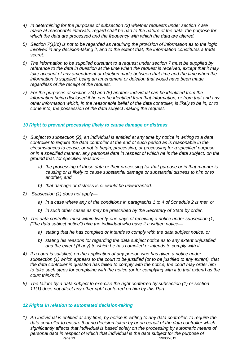- *4) In determining for the purposes of subsection (3) whether requests under section 7 are made at reasonable intervals, regard shall be had to the nature of the data, the purpose for which the data are processed and the frequency with which the data are altered.*
- *5) Section 7(1)(d) is not to be regarded as requiring the provision of information as to the logic involved in any decision-taking if, and to the extent that, the information constitutes a trade secret.*
- *6) The information to be supplied pursuant to a request under section 7 must be supplied by reference to the data in question at the time when the request is received, except that it may*  take account of any amendment or deletion made between that time and the time when the *information is supplied, being an amendment or deletion that would have been made regardless of the receipt of the request.*
- *7) For the purposes of section 7(4) and (5) another individual can be identified from the information being disclosed if he can be identified from that information, or from that and any other information which, in the reasonable belief of the data controller, is likely to be in, or to come into, the possession of the data subject making the request.*

### *10 Right to prevent processing likely to cause damage or distress*

- *1) Subject to subsection (2), an individual is entitled at any time by notice in writing to a data controller to require the data controller at the end of such period as is reasonable in the circumstances to cease, or not to begin, processing, or processing for a specified purpose or in a specified manner, any personal data in respect of which he is the data subject, on the ground that, for specified reasons* 
	- *a) the processing of those data or their processing for that purpose or in that manner is causing or is likely to cause substantial damage or substantial distress to him or to another, and*
	- *b) that damage or distress is or would be unwarranted.*
- *2) Subsection (1) does not apply* 
	- *a) in a case where any of the conditions in paragraphs 1 to 4 of Schedule 2 is met, or*
	- *b) in such other cases as may be prescribed by the Secretary of State by order.*
- *3) The data controller must within twenty-one days of receiving a notice under subsection (1) ("the data subject notice") give the individual who gave it a written notice* 
	- *a) stating that he has complied or intends to comply with the data subject notice, or*
	- *b) stating his reasons for regarding the data subject notice as to any extent unjustified*  and the extent (if any) to which he has complied or intends to comply with it.
- *4) If a court is satisfied, on the application of any person who has given a notice under subsection (1) which appears to the court to be justified (or to be justified to any extent), that the data controller in question has failed to comply with the notice, the court may order him to take such steps for complying with the notice (or for complying with it to that extent) as the court thinks fit.*
- *5) The failure by a data subject to exercise the right conferred by subsection (1) or section 11(1) does not affect any other right conferred on him by this Part.*

### *12 Rights in relation to automated decision-taking*

Page 13 29/03/2012 **Page 13** *1) An individual is entitled at any time, by notice in writing to any data controller, to require the data controller to ensure that no decision taken by or on behalf of the data controller which significantly affects that individual is based solely on the processing by automatic means of personal data in respect of which that individual is the data subject for the purpose of*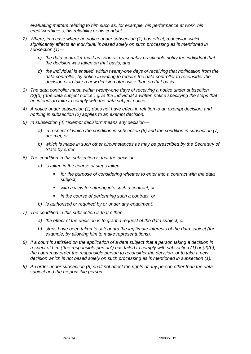*evaluating matters relating to him such as, for example, his performance at work, his creditworthiness, his reliability or his conduct.* 

- *2) Where, in a case where no notice under subsection (1) has effect, a decision which significantly affects an individual is based solely on such processing as is mentioned in subsection (1)* 
	- *c) the data controller must as soon as reasonably practicable notify the individual that the decision was taken on that basis, and*
	- *d) the individual is entitled, within twenty-one days of receiving that notification from the data controller, by notice in writing to require the data controller to reconsider the decision or to take a new decision otherwise than on that basis.*
- *3) The data controller must, within twenty-one days of receiving a notice under subsection (2)(b) ("the data subject notice") give the individual a written notice specifying the steps that he intends to take to comply with the data subject notice.*
- *4) A notice under subsection (1) does not have effect in relation to an exempt decision; and nothing in subsection (2) applies to an exempt decision.*
- *5) In subsection (4) "exempt decision" means any decision* 
	- *a) in respect of which the condition in subsection (6) and the condition in subsection (7) are met, or*
	- *b) which is made in such other circumstances as may be prescribed by the Secretary of State by order.*
- *6) The condition in this subsection is that the decision* 
	- *a) is taken in the course of steps taken* 
		- *for the purpose of considering whether to enter into a contract with the data subject,*
		- *with a view to entering into such a contract, or*
		- *in the course of performing such a contract, or*
	- *b) is authorised or required by or under any enactment.*
- *7) The condition in this subsection is that either* 
	- *a) the effect of the decision is to grant a request of the data subject, or*
	- *b) steps have been taken to safeguard the legitimate interests of the data subject (for example, by allowing him to make representations).*
- *8) If a court is satisfied on the application of a data subject that a person taking a decision in respect of him ("the responsible person") has failed to comply with subsection (1) or (2)(b), the court may order the responsible person to reconsider the decision, or to take a new decision which is not based solely on such processing as is mentioned in subsection (1).*
- *9) An order under subsection (8) shall not affect the rights of any person other than the data subject and the responsible person.*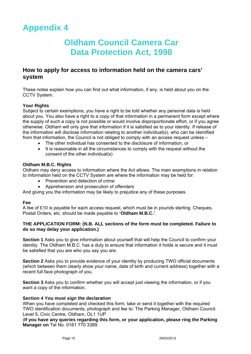# **Oldham Council Camera Car Data Protection Act, 1998**

### **How to apply for access to information held on the camera cars' system**

These notes explain how you can find out what information, if any, is held about you on the CCTV System.

### **Your Rights**

Subject to certain exemptions, you have a right to be told whether any personal data is held about you. You also have a right to a copy of that information in a permanent form except where the supply of such a copy is not possible or would involve disproportionate effort, or if you agree otherwise. Oldham will only give that information if it is satisfied as to your identity. If release of the information will disclose information relating to another individual(s), who can be identified from that information, the Council is not obliged to comply with an access request unless –

- The other individual has consented to the disclosure of information, or
- It is reasonable in all the circumstances to comply with the request without the consent of the other individual(s)

#### **Oldham M.B.C. Rights**

Oldham may deny access to information where the Act allows. The main exemptions in relation to information held on the CCTV System are where the information may be held for:

- Prevention and detection of crime
- Apprehension and prosecution of offenders

And giving you the information may be likely to prejudice any of these purposes.

#### **Fee**

A fee of £10 is payable for each access request, which must be in pounds sterling. Cheques, Postal Orders, etc. should be made payable to **'Oldham M.B.C.'**.

### **THE APPLICATION FORM: (N.B. ALL sections of the form must be completed. Failure to do so may delay your application.)**

**Section 1** Asks you to give information about yourself that will help the Council to confirm your identity. The Oldham M.B.C. has a duty to ensure that information it holds is secure and it must be satisfied that you are who you say you are.

**Section 2** Asks you to provide evidence of your identity by producing TWO official documents (which between them clearly show your name, date of birth and current address) together with a recent full face photograph of you.

**Section 3** Asks you to confirm whether you will accept just viewing the information, or if you want a copy of the information.

#### **Section 4 You must sign the declaration**

When you have completed and checked this form, take or send it together with the required TWO identification documents, photograph and fee to: The Parking Manager, Oldham Council. Level 5, Civic Centre, Oldham, OL1 1UP

(**If you have any queries regarding this form, or your application, please ring the Parking Manager on** Tel No. 0161 770 3389.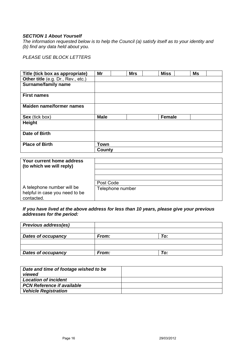### *SECTION 1 About Yourself*

*The information requested below is to help the Council (a) satisfy itself as to your identity and (b) find any data held about you.* 

*PLEASE USE BLOCK LETTERS* 

| Title (tick box as appropriate)    | Mr          | <b>Mrs</b> | <b>Miss</b>   | Ms |
|------------------------------------|-------------|------------|---------------|----|
| Other title (e.g. Dr., Rev., etc.) |             |            |               |    |
| <b>Surname/family name</b>         |             |            |               |    |
| <b>First names</b>                 |             |            |               |    |
| <b>Maiden name/former names</b>    |             |            |               |    |
| Sex (tick box)                     | <b>Male</b> |            | <b>Female</b> |    |
| <b>Height</b>                      |             |            |               |    |
| Date of Birth                      |             |            |               |    |
| <b>Place of Birth</b>              | Town        |            |               |    |
|                                    | County      |            |               |    |

| Your current home address      |                  |
|--------------------------------|------------------|
| (to which we will reply)       |                  |
|                                |                  |
|                                |                  |
|                                | Post Code        |
| A telephone number will be     | Telephone number |
| helpful in case you need to be |                  |
| contacted.                     |                  |

*If you have lived at the above address for less than 10 years, please give your previous addresses for the period:* 

| <b>Previous address(es)</b> |       |     |
|-----------------------------|-------|-----|
|                             |       |     |
| <b>Dates of occupancy</b>   | From: | To: |
|                             |       |     |
|                             |       |     |
| <b>Dates of occupancy</b>   | From: | To: |

| Date and time of footage wished to be<br>viewed |  |
|-------------------------------------------------|--|
| <b>Location of incident</b>                     |  |
| <b>PCN Reference if available</b>               |  |
| <b>Vehicle Registration</b>                     |  |